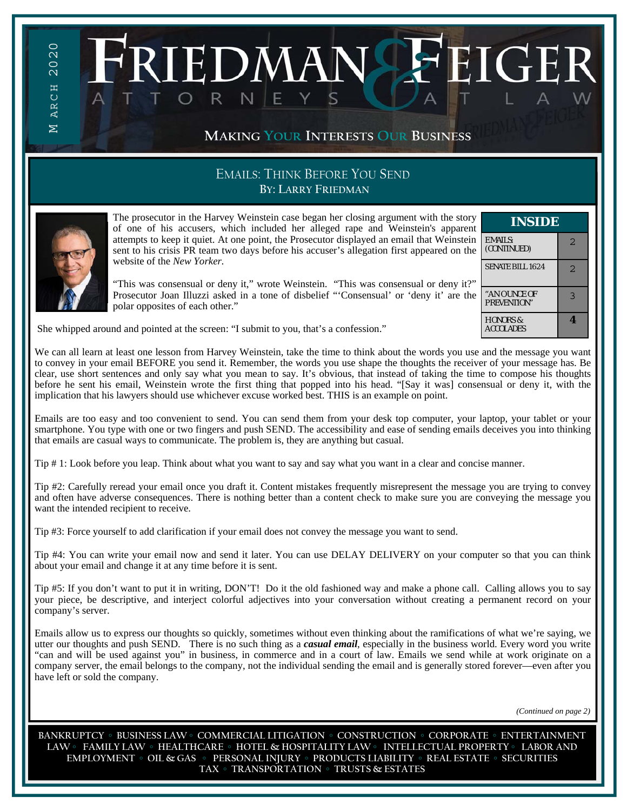# **MAKING YOUR INTERESTS OUR BUSINESS**

# EMAILS: THINK BEFORE YOU SEND **BY: LARRY FRIEDMAN**



 $\overline{\Sigma}$ 

M ARCH 2020

**ARCH** 

2020

The prosecutor in the Harvey Weinstein case began her closing argument with the story of one of his accusers, which included her alleged rape and Weinstein's apparent attempts to keep it quiet. At one point, the Prosecutor displayed an email that Weinstein sent to his crisis PR team two days before his accuser's allegation first appeared on the website of the *New Yorker.*

**IEDMAN-**

"This was consensual or deny it," wrote Weinstein. "This was consensual or deny it?" Prosecutor Joan Illuzzi asked in a tone of disbelief "'Consensual' or 'deny it' are the polar opposites of each other."

| INSIDE                                  |                         |
|-----------------------------------------|-------------------------|
| <b>EMAILS:</b><br>(CONTINUED)           | $\mathcal{D}_{1}^{(1)}$ |
| SENATE BILL 1624                        | 2                       |
| "AN OUNCE OF<br><b>PREVENTION"</b>      | っ                       |
| <b>HONORS &amp;</b><br><b>ACCOLADES</b> |                         |

 $\mathbf{C}_{\mathbf{L}}$ 

She whipped around and pointed at the screen: "I submit to you, that's a confession."

We can all learn at least one lesson from Harvey Weinstein, take the time to think about the words you use and the message you want to convey in your email BEFORE you send it. Remember, the words you use shape the thoughts the receiver of your message has. Be clear, use short sentences and only say what you mean to say. It's obvious, that instead of taking the time to compose his thoughts before he sent his email, Weinstein wrote the first thing that popped into his head. "[Say it was] consensual or deny it, with the implication that his lawyers should use whichever excuse worked best. THIS is an example on point.

Emails are too easy and too convenient to send. You can send them from your desk top computer, your laptop, your tablet or your smartphone. You type with one or two fingers and push SEND. The accessibility and ease of sending emails deceives you into thinking that emails are casual ways to communicate. The problem is, they are anything but casual.

Tip # 1: Look before you leap. Think about what you want to say and say what you want in a clear and concise manner.

Tip #2: Carefully reread your email once you draft it. Content mistakes frequently misrepresent the message you are trying to convey and often have adverse consequences. There is nothing better than a content check to make sure you are conveying the message you want the intended recipient to receive.

Tip #3: Force yourself to add clarification if your email does not convey the message you want to send.

Tip #4: You can write your email now and send it later. You can use DELAY DELIVERY on your computer so that you can think about your email and change it at any time before it is sent.

Tip #5: If you don't want to put it in writing, DON'T! Do it the old fashioned way and make a phone call. Calling allows you to say your piece, be descriptive, and interject colorful adjectives into your conversation without creating a permanent record on your company's server.

Emails allow us to express our thoughts so quickly, sometimes without even thinking about the ramifications of what we're saying, we utter our thoughts and push SEND. There is no such thing as a *casual email*, especially in the business world. Every word you write "can and will be used against you" in business, in commerce and in a court of law. Emails we send while at work originate on a company server, the email belongs to the company, not the individual sending the email and is generally stored forever—even after you have left or sold the company.

*(Continued on page 2)* 

**BANKRUPTCY ◦ BUSINESS LAW ◦ COMMERCIAL LITIGATION ◦ CONSTRUCTION ◦ CORPORATE ◦ ENTERTAINMENT LAW ◦ FAMILY LAW ◦ HEALTHCARE ◦ HOTEL & HOSPITALITY LAW ◦ INTELLECTUAL PROPERTY ◦ LABOR AND EMPLOYMENT ◦ OIL & GAS ◦ PERSONAL INJURY ◦ PRODUCTS LIABILITY ◦ REAL ESTATE ◦ SECURITIES TAX ◦ TRANSPORTATION ◦ TRUSTS & ESTATES**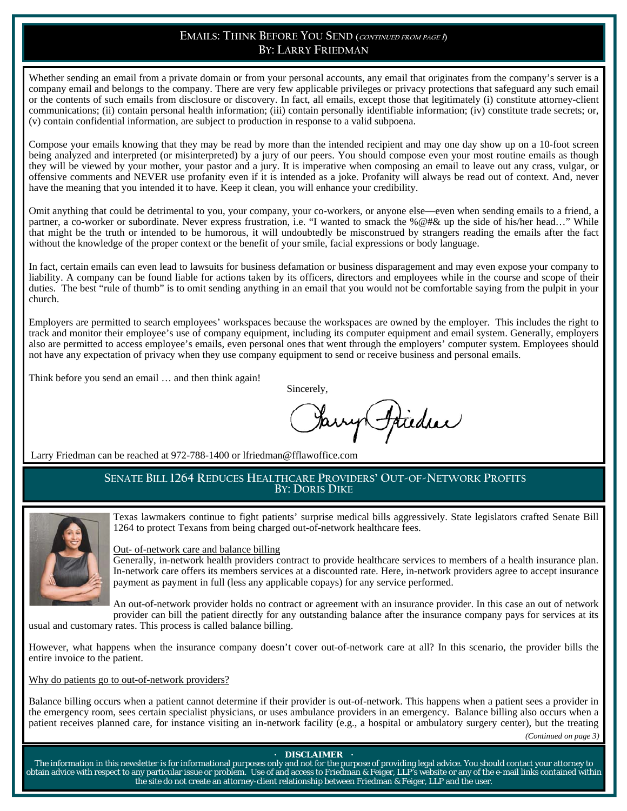# **EMAILS: THINK BEFORE YOU SEND (CONTINUED FROM PAGE<sup>1</sup>) BY: LARRY FRIEDMAN**

Whether sending an email from a private domain or from your personal accounts, any email that originates from the company's server is a company email and belongs to the company. There are very few applicable privileges or privacy protections that safeguard any such email or the contents of such emails from disclosure or discovery. In fact, all emails, except those that legitimately (i) constitute attorney-client communications; (ii) contain personal health information; (iii) contain personally identifiable information; (iv) constitute trade secrets; or, (v) contain confidential information, are subject to production in response to a valid subpoena.

Compose your emails knowing that they may be read by more than the intended recipient and may one day show up on a 10-foot screen being analyzed and interpreted (or misinterpreted) by a jury of our peers. You should compose even your most routine emails as though they will be viewed by your mother, your pastor and a jury. It is imperative when composing an email to leave out any crass, vulgar, or offensive comments and NEVER use profanity even if it is intended as a joke. Profanity will always be read out of context. And, never have the meaning that you intended it to have. Keep it clean, you will enhance your credibility.

Omit anything that could be detrimental to you, your company, your co-workers, or anyone else—even when sending emails to a friend, a partner, a co-worker or subordinate. Never express frustration, i.e. "I wanted to smack the %@#& up the side of his/her head…" While that might be the truth or intended to be humorous, it will undoubtedly be misconstrued by strangers reading the emails after the fact without the knowledge of the proper context or the benefit of your smile, facial expressions or body language.

In fact, certain emails can even lead to lawsuits for business defamation or business disparagement and may even expose your company to liability. A company can be found liable for actions taken by its officers, directors and employees while in the course and scope of their duties. The best "rule of thumb" is to omit sending anything in an email that you would not be comfortable saying from the pulpit in your church.

Employers are permitted to search employees' workspaces because the workspaces are owned by the employer. This includes the right to track and monitor their employee's use of company equipment, including its computer equipment and email system. Generally, employers also are permitted to access employee's emails, even personal ones that went through the employers' computer system. Employees should not have any expectation of privacy when they use company equipment to send or receive business and personal emails.

Think before you send an email ... and then think again!

Sincerely,

Ipieduc

Larry Friedman can be reached at 972-788-1400 or lfriedman@fflawoffice.com

# **SENATE BILL 1264 REDUCES HEALTHCARE PROVIDERS' OUT-OF-NETWORK PROFITS BY: DORIS DIKE**



Texas lawmakers continue to fight patients' surprise medical bills aggressively. State legislators crafted Senate Bill 1264 to protect Texans from being charged out-of-network healthcare fees.

### Out- of-network care and balance billing

Generally, in-network health providers contract to provide healthcare services to members of a health insurance plan. In-network care offers its members services at a discounted rate. Here, in-network providers agree to accept insurance payment as payment in full (less any applicable copays) for any service performed.

An out-of-network provider holds no contract or agreement with an insurance provider. In this case an out of network provider can bill the patient directly for any outstanding balance after the insurance company pays for services at its

usual and customary rates. This process is called balance billing.

However, what happens when the insurance company doesn't cover out-of-network care at all? In this scenario, the provider bills the entire invoice to the patient.

Why do patients go to out-of-network providers?

Balance billing occurs when a patient cannot determine if their provider is out-of-network. This happens when a patient sees a provider in the emergency room, sees certain specialist physicians, or uses ambulance providers in an emergency. Balance billing also occurs when a patient receives planned care, for instance visiting an in-network facility (e.g., a hospital or ambulatory surgery center), but the treating

*(Continued on page 3)* 

#### **·** DISCLAIMER ·

The information in this newsletter is for informational purposes only and not for the purpose of providing legal advice. You should contact your attorney to obtain advice with respect to any particular issue or problem. Use of and access to Friedman & Feiger, LLP's website or any of the e-mail links contained within the site do not create an attorney-client relationship between Friedman & Feiger, LLP and the user.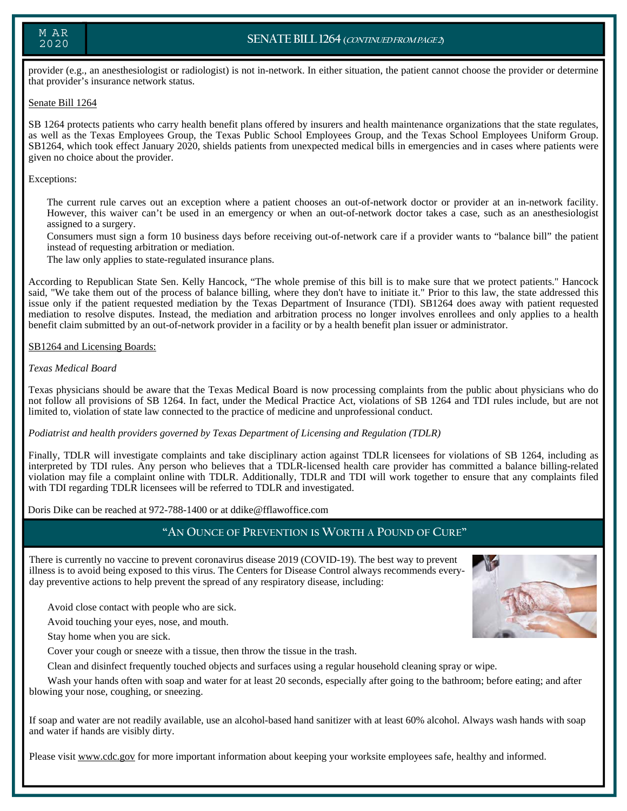## M AR 2020

# **SENATE BILL 1264 (CONTINUED FROM PAGE 2)**

provider (e.g., an anesthesiologist or radiologist) is not in-network. In either situation, the patient cannot choose the provider or determine that provider's insurance network status.

#### Senate Bill 1264

SB 1264 protects patients who carry health benefit plans offered by insurers and health maintenance organizations that the state regulates, as well as the Texas Employees Group, the Texas Public School Employees Group, and the Texas School Employees Uniform Group. SB1264, which took effect January 2020, shields patients from unexpected medical bills in emergencies and in cases where patients were given no choice about the provider.

#### Exceptions:

 The current rule carves out an exception where a patient chooses an out-of-network doctor or provider at an in-network facility. However, this waiver can't be used in an emergency or when an out-of-network doctor takes a case, such as an anesthesiologist assigned to a surgery.

 Consumers must sign a form 10 business days before receiving out-of-network care if a provider wants to "balance bill" the patient instead of requesting arbitration or mediation.

The law only applies to state-regulated insurance plans.

According to Republican State Sen. Kelly Hancock, "The whole premise of this bill is to make sure that we protect patients." Hancock said, "We take them out of the process of balance billing, where they don't have to initiate it." Prior to this law, the state addressed this issue only if the patient requested mediation by the Texas Department of Insurance (TDI). SB1264 does away with patient requested mediation to resolve disputes. Instead, the mediation and arbitration process no longer involves enrollees and only applies to a health benefit claim submitted by an out-of-network provider in a facility or by a health benefit plan issuer or administrator.

#### SB1264 and Licensing Boards:

#### *Texas Medical Board*

Texas physicians should be aware that the Texas Medical Board is now processing complaints from the public about physicians who do not follow all provisions of SB 1264. In fact, under the Medical Practice Act, violations of SB 1264 and TDI rules include, but are not limited to, violation of state law connected to the practice of medicine and unprofessional conduct.

#### *Podiatrist and health providers governed by Texas Department of Licensing and Regulation (TDLR)*

Finally, TDLR will investigate complaints and take disciplinary action against TDLR licensees for violations of SB 1264, including as interpreted by TDI rules. Any person who believes that a TDLR-licensed health care provider has committed a balance billing-related violation may file a complaint online with TDLR. Additionally, TDLR and TDI will work together to ensure that any complaints filed with TDI regarding TDLR licensees will be referred to TDLR and investigated.

Doris Dike can be reached at 972-788-1400 or at ddike@fflawoffice.com

# **"AN OUNCE OF PREVENTION IS WORTH A POUND OF CURE"**

There is currently no vaccine to prevent coronavirus disease 2019 (COVID-19). The best way to prevent illness is to avoid being exposed to this virus. The Centers for Disease Control always recommends everyday preventive actions to help prevent the spread of any respiratory disease, including:

Avoid close contact with people who are sick.

Avoid touching your eyes, nose, and mouth.

Stay home when you are sick.

Cover your cough or sneeze with a tissue, then throw the tissue in the trash.

Clean and disinfect frequently touched objects and surfaces using a regular household cleaning spray or wipe.

 Wash your hands often with soap and water for at least 20 seconds, especially after going to the bathroom; before eating; and after blowing your nose, coughing, or sneezing.

If soap and water are not readily available, use an alcohol-based hand sanitizer with at least 60% alcohol. Always wash hands with soap and water if hands are visibly dirty.

Please visit www.cdc.gov for more important information about keeping your worksite employees safe, healthy and informed.